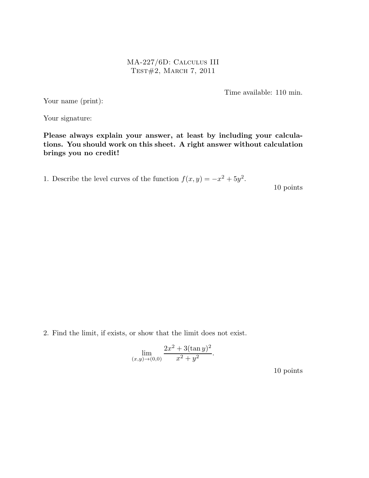MA-227/6D: Calculus III Test#2, March 7, 2011

Time available: 110 min.

Your name (print):

Your signature:

Please always explain your answer, at least by including your calculations. You should work on this sheet. A right answer without calculation brings you no credit!

1. Describe the level curves of the function  $f(x, y) = -x^2 + 5y^2$ .

10 points

2. Find the limit, if exists, or show that the limit does not exist.

$$
\lim_{(x,y)\to(0,0)}\frac{2x^2+3(\tan y)^2}{x^2+y^2}.
$$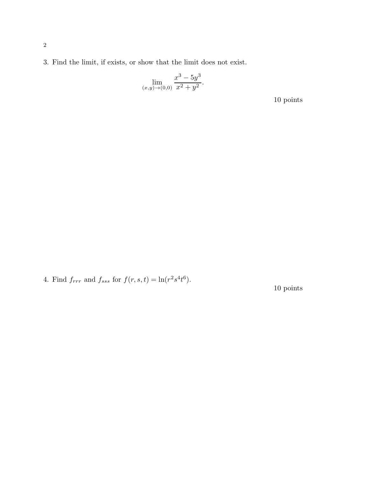3. Find the limit, if exists, or show that the limit does not exist.

$$
\lim_{(x,y)\to(0,0)}\frac{x^3-5y^3}{x^2+y^2}.
$$

10 points

4. Find  $f_{rrr}$  and  $f_{sss}$  for  $f(r, s, t) = \ln(r^2 s^4 t^6)$ .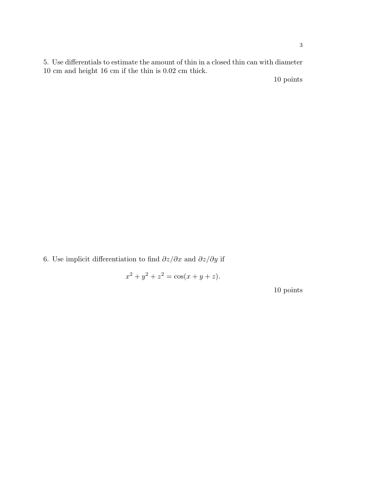5. Use differentials to estimate the amount of thin in a closed thin can with diameter 10 cm and height 16 cm if the thin is 0.02 cm thick.

10 points

6. Use implicit differentiation to find  $\partial z/\partial x$  and  $\partial z/\partial y$  if

 $x^2 + y^2 + z^2 = \cos(x + y + z).$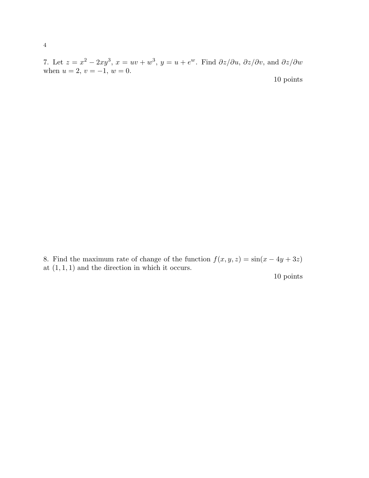7. Let  $z = x^2 - 2xy^3$ ,  $x = uv + w^3$ ,  $y = u + e^w$ . Find  $\partial z/\partial u$ ,  $\partial z/\partial v$ , and  $\partial z/\partial w$ when  $u = 2, v = -1, w = 0.$ 10 points

8. Find the maximum rate of change of the function  $f(x, y, z) = \sin(x - 4y + 3z)$ at  $(1, 1, 1)$  and the direction in which it occurs.